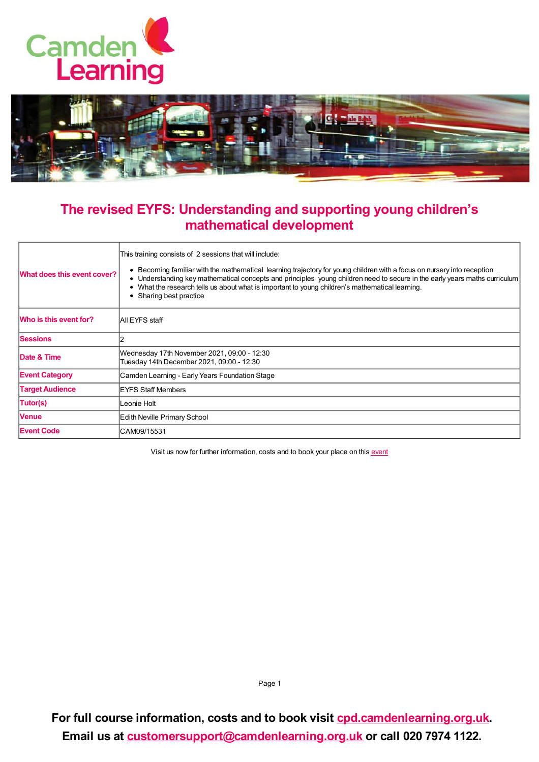



## **The revised EYFS: Understanding and supporting young children's mathematical development**

| What does this event cover? | This training consists of 2 sessions that will include:<br>Becoming familiar with the mathematical learning trajectory for young children with a focus on nursery into reception<br>Understanding key mathematical concepts and principles young children need to secure in the early years maths curriculum<br>• What the research tells us about what is important to young children's mathematical learning.<br>• Sharing best practice |
|-----------------------------|--------------------------------------------------------------------------------------------------------------------------------------------------------------------------------------------------------------------------------------------------------------------------------------------------------------------------------------------------------------------------------------------------------------------------------------------|
| Who is this event for?      | All EYFS staff                                                                                                                                                                                                                                                                                                                                                                                                                             |
| <b>Sessions</b>             |                                                                                                                                                                                                                                                                                                                                                                                                                                            |
| Date & Time                 | Wednesday 17th November 2021, 09:00 - 12:30<br>Tuesday 14th December 2021, 09:00 - 12:30                                                                                                                                                                                                                                                                                                                                                   |
| <b>Event Category</b>       | Camden Learning - Early Years Foundation Stage                                                                                                                                                                                                                                                                                                                                                                                             |
| <b>Target Audience</b>      | <b>IEYFS Staff Members</b>                                                                                                                                                                                                                                                                                                                                                                                                                 |
| Tutor(s)                    | Leonie Holt                                                                                                                                                                                                                                                                                                                                                                                                                                |
| <b>Venue</b>                | Edith Neville Primary School                                                                                                                                                                                                                                                                                                                                                                                                               |
| <b>Event Code</b>           | CAM09/15531                                                                                                                                                                                                                                                                                                                                                                                                                                |

Visit us now for further information, costs and to book your place on this [event](https://cpd.camdenlearning.org.uk/courses/bookings/c_detail.asp?cid=22938)

Page 1

**For full course information, costs and to book visit [cpd.camdenlearning.org.uk](https://cpd.camdenlearning.org.uk). Email us at [customersupport@camdenlearning.org.uk](mailto:customersupport@camdenlearning.org.uk) or call 020 7974 1122.**